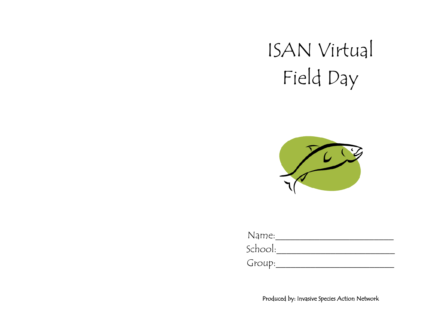#### ISAN Virtual Field Day



Name:\_\_\_\_\_\_\_\_\_\_\_\_\_\_\_\_\_\_\_\_\_\_\_\_ School:\_\_\_\_\_\_\_\_\_\_\_\_\_\_\_\_\_\_\_\_\_\_\_\_

 $Group:$ 

Produced by: Invasive Species Action Network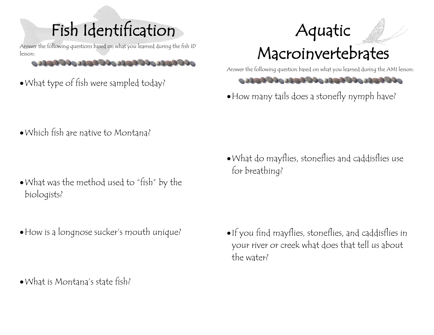## Fish Identification

lesson:

 $\mathcal{A} \cup \mathcal{A} \cup \mathcal{A} \cup \mathcal{A} \cup \mathcal{A} \cup \mathcal{A} \cup \mathcal{A} \cup \mathcal{A} \cup \mathcal{A} \cup \mathcal{A} \cup \mathcal{A} \cup \mathcal{A} \cup \mathcal{A} \cup \mathcal{A} \cup \mathcal{A} \cup \mathcal{A} \cup \mathcal{A} \cup \mathcal{A} \cup \mathcal{A} \cup \mathcal{A} \cup \mathcal{A} \cup \mathcal{A} \cup \mathcal{A} \cup \mathcal{A} \cup \mathcal{A} \cup \mathcal{A} \cup \mathcal{A} \cup \mathcal{$ 

•What type of fish were sampled today?

Aquatic

#### Macroinvertebrates

Answer the following question based on what you learned during the AMI lesson:



•How many tails does a stonefly nymph have?

•Which fish are native to Montana?

- •What was the method used to "fish" by the biologists?
- •How is a longnose sucker's mouth unique?
- 
- •What is Montana's state fish?

•What do mayflies, stoneflies and caddisflies use for breathing?

•If you find mayflies, stoneflies, and caddisflies in your river or creek what does that tell us about the water?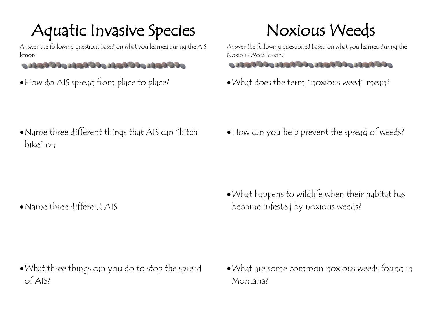### Aquatic Invasive Species<br>Answer the following questions based on what you learned during the AIS

lesson:

- 
- How do AIS spread from place to place?

# Noxious Weeds<br>Answer the following questioned based on what you learned during the

Noxious Weed lesson:



•What does the term "noxious weed" mean?

•Name three different things that AIS can "hitch hike" on

•Name three different AIS

•How can you help prevent the spread of weeds?

•What happens to wildlife when their habitat has become infested by noxious weeds?

- •What three things can you do to stop the spread of AIS?
- •What are some common noxious weeds found in Montana?